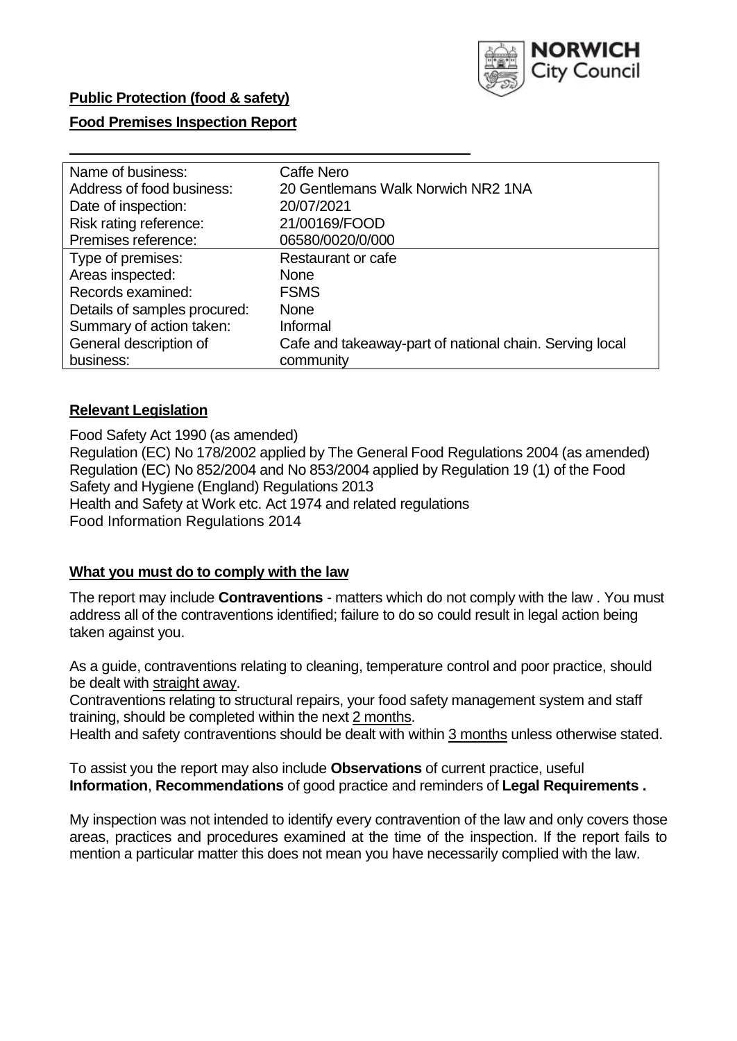

## **Food Premises Inspection Report**

| Name of business:            | Caffe Nero                                              |  |  |  |  |
|------------------------------|---------------------------------------------------------|--|--|--|--|
| Address of food business:    | 20 Gentlemans Walk Norwich NR2 1NA                      |  |  |  |  |
| Date of inspection:          | 20/07/2021                                              |  |  |  |  |
| Risk rating reference:       | 21/00169/FOOD                                           |  |  |  |  |
| Premises reference:          | 06580/0020/0/000                                        |  |  |  |  |
| Type of premises:            | <b>Restaurant or cafe</b>                               |  |  |  |  |
| Areas inspected:             | <b>None</b>                                             |  |  |  |  |
| Records examined:            | <b>FSMS</b>                                             |  |  |  |  |
| Details of samples procured: | <b>None</b>                                             |  |  |  |  |
| Summary of action taken:     | Informal                                                |  |  |  |  |
| General description of       | Cafe and takeaway-part of national chain. Serving local |  |  |  |  |
| business:                    | community                                               |  |  |  |  |

#### **Relevant Legislation**

 Food Safety Act 1990 (as amended) Regulation (EC) No 178/2002 applied by The General Food Regulations 2004 (as amended) Regulation (EC) No 852/2004 and No 853/2004 applied by Regulation 19 (1) of the Food Safety and Hygiene (England) Regulations 2013 Health and Safety at Work etc. Act 1974 and related regulations Food Information Regulations 2014

#### **What you must do to comply with the law**

 The report may include **Contraventions** - matters which do not comply with the law . You must address all of the contraventions identified; failure to do so could result in legal action being taken against you.

 As a guide, contraventions relating to cleaning, temperature control and poor practice, should be dealt with straight away.

 Contraventions relating to structural repairs, your food safety management system and staff training, should be completed within the next 2 months.

Health and safety contraventions should be dealt with within 3 months unless otherwise stated.

 To assist you the report may also include **Observations** of current practice, useful **Information**, **Recommendations** of good practice and reminders of **Legal Requirements .** 

 My inspection was not intended to identify every contravention of the law and only covers those areas, practices and procedures examined at the time of the inspection. If the report fails to mention a particular matter this does not mean you have necessarily complied with the law.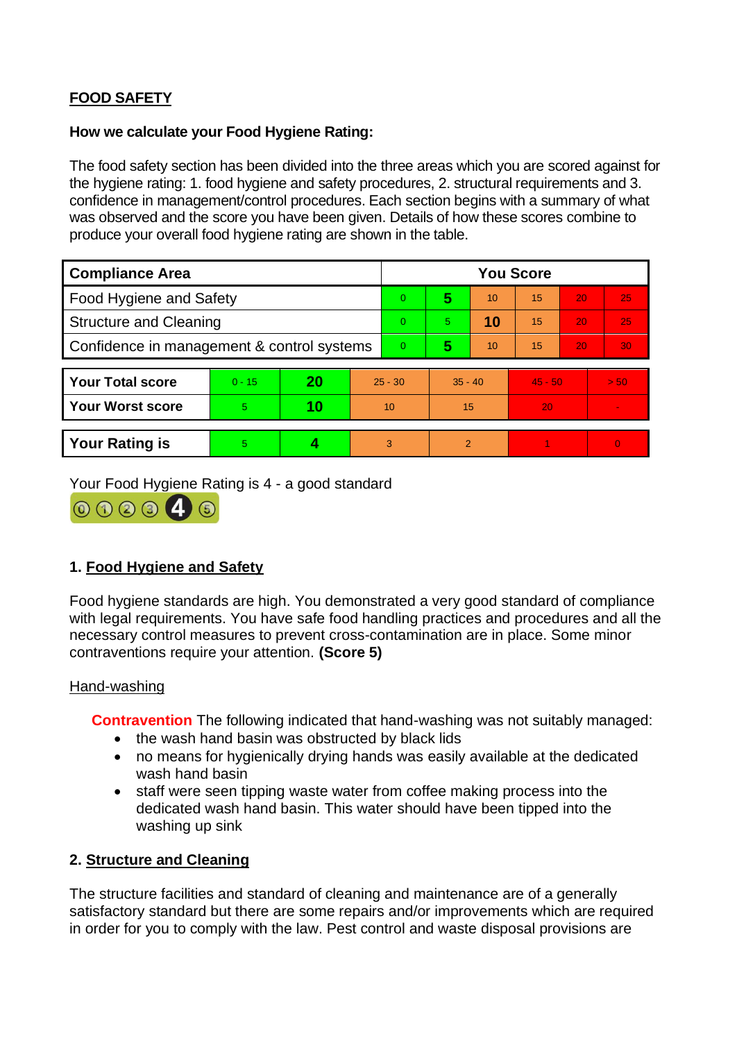# **FOOD SAFETY**

### **How we calculate your Food Hygiene Rating:**

 The food safety section has been divided into the three areas which you are scored against for the hygiene rating: 1. food hygiene and safety procedures, 2. structural requirements and 3. confidence in management/control procedures. Each section begins with a summary of what was observed and the score you have been given. Details of how these scores combine to produce your overall food hygiene rating are shown in the table.

| <b>Compliance Area</b>                     |          |    |           | <b>You Score</b> |                |    |           |    |                |  |  |
|--------------------------------------------|----------|----|-----------|------------------|----------------|----|-----------|----|----------------|--|--|
| Food Hygiene and Safety                    |          |    |           | $\Omega$         | 5              | 10 | 15        | 20 | 25             |  |  |
| <b>Structure and Cleaning</b>              |          |    |           | $\Omega$         | 5              | 10 | 15        | 20 | 25             |  |  |
| Confidence in management & control systems |          |    |           | $\overline{0}$   | 5              | 10 | 15        | 20 | 30             |  |  |
|                                            |          |    |           |                  |                |    |           |    |                |  |  |
| <b>Your Total score</b>                    | $0 - 15$ | 20 | $25 - 30$ |                  | $35 - 40$      |    | $45 - 50$ |    | > 50           |  |  |
| <b>Your Worst score</b>                    | 5        | 10 | 10        |                  | 15             |    | 20        |    | $\blacksquare$ |  |  |
|                                            |          |    |           |                  |                |    |           |    |                |  |  |
| <b>Your Rating is</b>                      | 5        |    |           | 3                | $\overline{2}$ |    |           |    | $\Omega$       |  |  |

Your Food Hygiene Rating is 4 - a good standard



# **1. Food Hygiene and Safety**

 with legal requirements. You have safe food handling practices and procedures and all the Food hygiene standards are high. You demonstrated a very good standard of compliance necessary control measures to prevent cross-contamination are in place. Some minor contraventions require your attention. **(Score 5)** 

#### Hand-washing

**Contravention** The following indicated that hand-washing was not suitably managed:

- the wash hand basin was obstructed by black lids
- no means for hygienically drying hands was easily available at the dedicated wash hand basin
- staff were seen tipping waste water from coffee making process into the dedicated wash hand basin. This water should have been tipped into the washing up sink

## **2. Structure and Cleaning**

 satisfactory standard but there are some repairs and/or improvements which are required The structure facilities and standard of cleaning and maintenance are of a generally in order for you to comply with the law. Pest control and waste disposal provisions are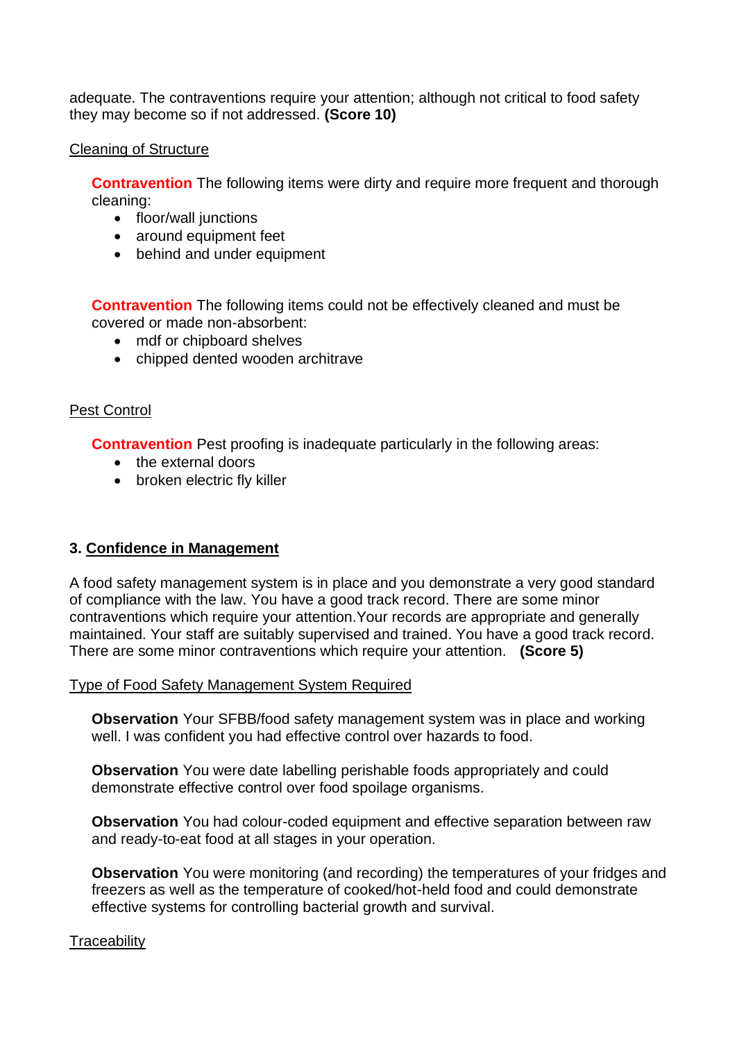adequate. The contraventions require your attention; although not critical to food safety they may become so if not addressed. **(Score 10)** 

#### Cleaning of Structure

**Contravention** The following items were dirty and require more frequent and thorough cleaning:

- floor/wall junctions
- around equipment feet
- behind and under equipment

**Contravention** The following items could not be effectively cleaned and must be covered or made non-absorbent:

- mdf or chipboard shelves
- chipped dented wooden architrave

### Pest Control

**Contravention** Pest proofing is inadequate particularly in the following areas:

- the external doors
- broken electric fly killer

## **3. Confidence in Management**

 of compliance with the law. You have a good track record. There are some minor maintained. Your staff are suitably supervised and trained. You have a good track record. A food safety management system is in place and you demonstrate a very good standard contraventions which require your attention.Your records are appropriate and generally There are some minor contraventions which require your attention. **(Score 5)** 

#### Type of Food Safety Management System Required

**Observation** Your SFBB/food safety management system was in place and working well. I was confident you had effective control over hazards to food.

**Observation** You were date labelling perishable foods appropriately and could demonstrate effective control over food spoilage organisms.

**Observation** You had colour-coded equipment and effective separation between raw and ready-to-eat food at all stages in your operation.

 **Observation** You were monitoring (and recording) the temperatures of your fridges and freezers as well as the temperature of cooked/hot-held food and could demonstrate effective systems for controlling bacterial growth and survival.

#### **Traceability**